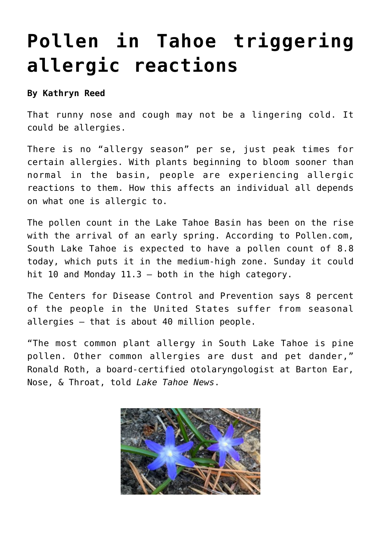## **[Pollen in Tahoe triggering](https://www.laketahoenews.net/2015/03/pollen-in-tahoe-triggering-allergic-reactions/) [allergic reactions](https://www.laketahoenews.net/2015/03/pollen-in-tahoe-triggering-allergic-reactions/)**

## **By Kathryn Reed**

That runny nose and cough may not be a lingering cold. It could be allergies.

There is no "allergy season" per se, just peak times for certain allergies. With plants beginning to bloom sooner than normal in the basin, people are experiencing allergic reactions to them. How this affects an individual all depends on what one is allergic to.

The pollen count in the Lake Tahoe Basin has been on the rise with the arrival of an early spring. According to Pollen.com, South Lake Tahoe is expected to have a pollen count of 8.8 today, which puts it in the medium-high zone. Sunday it could hit 10 and Monday 11.3 – both in the high category.

The Centers for Disease Control and Prevention says 8 percent of the people in the United States suffer from seasonal allergies – that is about 40 million people.

"The most common plant allergy in South Lake Tahoe is pine pollen. Other common allergies are dust and pet dander," Ronald Roth, a board-certified otolaryngologist at Barton Ear, Nose, & Throat, told *Lake Tahoe News*.

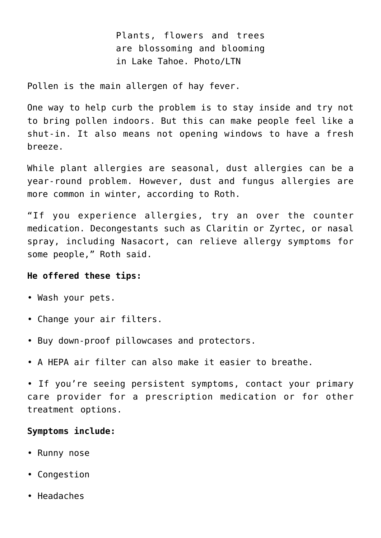Plants, flowers and trees are blossoming and blooming in Lake Tahoe. Photo/LTN

Pollen is the main allergen of hay fever.

One way to help curb the problem is to stay inside and try not to bring pollen indoors. But this can make people feel like a shut-in. It also means not opening windows to have a fresh breeze.

While plant allergies are seasonal, dust allergies can be a year-round problem. However, dust and fungus allergies are more common in winter, according to Roth.

"If you experience allergies, try an over the counter medication. Decongestants such as Claritin or Zyrtec, or nasal spray, including Nasacort, can relieve allergy symptoms for some people," Roth said.

## **He offered these tips:**

- Wash your pets.
- Change your air filters.
- Buy down-proof pillowcases and protectors.
- A HEPA air filter can also make it easier to breathe.

• If you're seeing persistent symptoms, contact your primary care provider for a prescription medication or for other treatment options.

## **Symptoms include:**

- Runny nose
- Congestion
- Headaches